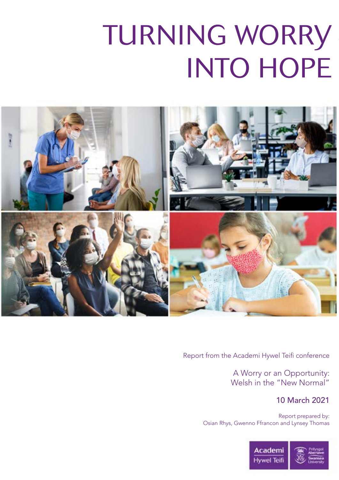# TURNING WORRY INTO HOPE



Report from the Academi Hywel Teifi conference

A Worry or an Opportunity: Welsh in the "New Normal"

#### 10 March 2021

Report prepared by: Osian Rhys, Gwenno Ffrancon and Lynsey Thomas

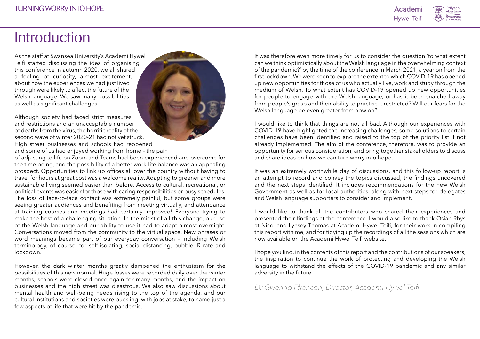## Introduction

As the staff at Swansea University's Academi Hywel Teifi started discussing the idea of organising this conference in autumn 2020, we all shared a feeling of curiosity, almost excitement, about how the experiences we had just lived through were likely to affect the future of the Welsh language. We saw many possibilities as well as significant challenges.

Although society had faced strict measures and restrictions and an unacceptable number of deaths from the virus, the horrific reality of the second wave of winter 2020-21 had not yet struck. High street businesses and schools had reopened and some of us had enjoyed working from home – the pain

of adjusting to life on Zoom and Teams had been experienced and overcome for the time being, and the possibility of a better work-life balance was an appealing prospect. Opportunities to link up offices all over the country without having to travel for hours at great cost was a welcome reality. Adapting to greener and more sustainable living seemed easier than before. Access to cultural, recreational, or political events was easier for those with caring responsibilities or busy schedules. The loss of face-to-face contact was extremely painful, but some groups were seeing greater audiences and benefiting from meeting virtually, and attendance at training courses and meetings had certainly improved! Everyone trying to make the best of a challenging situation. In the midst of all this change, our use of the Welsh language and our ability to use it had to adapt almost overnight. Conversations moved from the community to the virtual space. New phrases or word meanings became part of our everyday conversation – including Welsh terminology, of course, for self-isolating, social distancing, bubble, R rate and lockdown.

However, the dark winter months greatly dampened the enthusiasm for the possibilities of this new normal. Huge losses were recorded daily over the winter months, schools were closed once again for many months, and the impact on businesses and the high street was disastrous. We also saw discussions about mental health and well-being needs rising to the top of the agenda, and our cultural institutions and societies were buckling, with jobs at stake, to name just a few aspects of life that were hit by the pandemic.

It was therefore even more timely for us to consider the question 'to what extent can we think optimistically about the Welsh language in the overwhelming context of the pandemic?' by the time of the conference in March 2021, a year on from the first lockdown. We were keen to explore the extent to which COVID-19 has opened up new opportunities for those of us who actually live, work and study through the medium of Welsh. To what extent has COVID-19 opened up new opportunities for people to engage with the Welsh language, or has it been snatched away from people's grasp and their ability to practise it restricted? Will our fears for the Welsh language be even greater from now on?

I would like to think that things are not all bad. Although our experiences with COVID-19 have highlighted the increasing challenges, some solutions to certain challenges have been identified and raised to the top of the priority list if not already implemented. The aim of the conference, therefore, was to provide an opportunity for serious consideration, and bring together stakeholders to discuss and share ideas on how we can turn worry into hope.

It was an extremely worthwhile day of discussions, and this follow-up report is an attempt to record and convey the topics discussed, the findings uncovered and the next steps identified. It includes recommendations for the new Welsh Government as well as for local authorities, along with next steps for delegates and Welsh language supporters to consider and implement.

I would like to thank all the contributors who shared their experiences and presented their findings at the conference. I would also like to thank Osian Rhys at Nico, and Lynsey Thomas at Academi Hywel Teifi, for their work in compiling this report with me, and for tidying up the recordings of all the sessions which are now available on the Academi Hywel Teifi website.

I hope you find, in the contents of this report and the contributions of our speakers, the inspiration to continue the work of protecting and developing the Welsh language to withstand the effects of the COVID-19 pandemic and any similar adversity in the future.

*Dr Gwenno Ffrancon, Director, Academi Hywel Teifi*

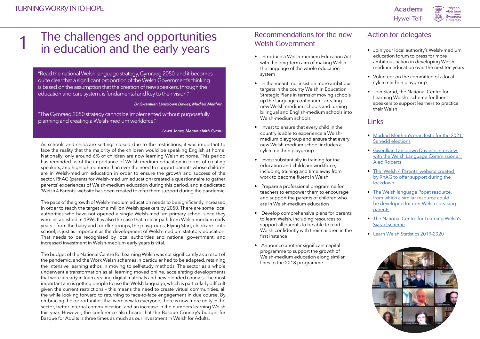### Action for delegates

"Read the national Welsh language strategy, Cymraeg 2050, and it becomes quite clear that a significant proportion of the Welsh Government's thinking is based on the assumption that the creation of new speakers, through the education and care system, is fundamental and key to their vision."

#### *Dr Gwenllian Lansdown Davies, Mudiad Meithrin*

"The Cymraeg 2050 strategy cannot be implemented without purposefully planning and creating a Welsh-medium workforce."

*Lowri Jones, Mentrau Iaith Cymru*

As schools and childcare settings closed due to the restrictions, it was important to face the reality that the majority of the children would be speaking English at home. Nationally, only around 6% of children are now learning Welsh at home. This period has reminded us of the importance of Welsh-medium education in terms of creating speakers, and highlighted more than ever the need to support parents whose children are in Welsh-medium education in order to ensure the growth and success of the sector. RhAG (parents for Welsh-medium education) created a questionnaire to gather parents' experiences of Welsh-medium education during this period, and a dedicated 'Welsh 4 Parents' website has been created to offer them support during the pandemic.

The pace of the growth of Welsh-medium education needs to be significantly increased in order to reach the target of a million Welsh speakers by 2050. There are some local authorities who have not opened a single Welsh-medium primary school since they were established in 1996. It is also the case that a clear path from Welsh-medium early years – from the baby and toddler groups, the playgroups, Flying Start, childcare – into school, is just as important as the development of Welsh-medium statutory education. That needs to be recognised by local authorities and national government, and increased investment in Welsh-medium early years is vital.

### The challenges and opportunities in education and the early years 1

The budget of the National Centre for Learning Welsh was cut significantly as a result of the pandemic, and the Work Welsh schemes in particular had to be adapted, retaining the intensive learning ethos in moving to self-study methods. The sector as a whole underwent a transformation as all learning moved online, accelerating developments that were already in train creating digital materials and new blended courses. The most important aim is getting people to use the Welsh language, which is particularly difficult given the current restrictions – this means the need to create virtual communities, all the while looking forward to returning to face-to-face engagement in due course. By embracing the opportunities that were new to everyone, there is now more unity in the sector, better internal communication, and an increase in the numbers learning Welsh this year. However, the conference also heard that the Basque Country's budget for Basque for Adults is three times as much as our investment in Welsh for Adults.

- Introduce a Welsh-medium Education Act with the long-term aim of making Welsh the language of the whole education system
- In the meantime, insist on more ambitious targets in the county Welsh in Education Strategic Plans in terms of moving schools up the language continuum – creating new Welsh-medium schools and turning bilingual and English-medium schools into Welsh-medium schools
- Invest to ensure that every child in the country is able to experience a Welshmedium playgroup and ensure that every new Welsh-medium school includes a cylch meithrin playgroup
- Invest substantially in training for the education and childcare workforce, including training and time away from work to become fluent in Welsh
- Prepare a professional programme for teachers to empower them to encourage and support the parents of children who are in Welsh-medium education
- Develop comprehensive plans for parents to learn Welsh, including resources to support all parents to be able to read Welsh confidently with their children in the first instance
- Announce another significant capital programme to support the growth of Welsh-medium education along similar lines to the 2018 programme





- Join your local authority's Welsh-medium education forum to press for more ambitious action in developing Welshmedium education over the next ten years
- Volunteer on the committee of a local cylch meithrin playgroup
- Join Siarad, the National Centre for Learning Welsh's scheme for fluent speakers to support learners to practice their Welsh

### **Links**

- [Mudiad Meithrin's manifesto for the 2021](https://www.meithrin.cymru/news/i/166194/desc/mudiad-meithrin-announce-manifesto/)  [Senedd elections](https://www.meithrin.cymru/news/i/166194/desc/mudiad-meithrin-announce-manifesto/)
- [Gwenllian Lansdown Davies's interview](https://www.youtube.com/watch?v=T9evHe3O2j8)  [with the Welsh Language Commissioner,](https://www.youtube.com/watch?v=T9evHe3O2j8)  [Aled Roberts](https://www.youtube.com/watch?v=T9evHe3O2j8)
- [The 'Welsh 4 Parents' website created](https://www.welsh4parents.cymru/)  by RhAG to offer support during the **[lockdown](https://www.welsh4parents.cymru/)**
- The Welsh language Popat resource, [from which a similar resource could](http://www.popat.co.uk/8602b964-ff83-4816-80fb-422c0ca0f0ee.aspx)  [be developed for non-Welsh speaking](http://www.popat.co.uk/8602b964-ff83-4816-80fb-422c0ca0f0ee.aspx)  [parents](http://www.popat.co.uk/8602b964-ff83-4816-80fb-422c0ca0f0ee.aspx)
- [The National Centre for Learning Welsh's](https://learnwelsh.cymru/learning/siarad/)  [Siarad scheme](https://learnwelsh.cymru/learning/siarad/)
- [Learn Welsh Statistics 2019-2020](https://learnwelsh.cymru/about-us/statistics/statistics-2019-20/)

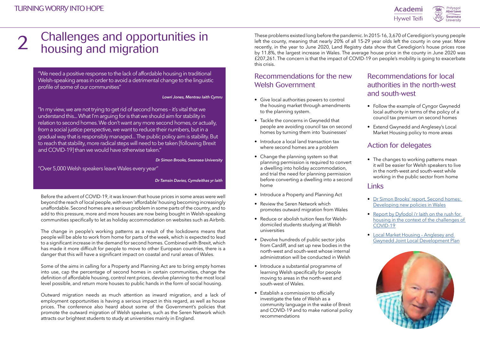### Action for delegates

### Recommendations for local authorities in the north-west and south-west

### Links

"We need a positive response to the lack of affordable housing in traditional Welsh-speaking areas in order to avoid a detrimental change to the linguistic profile of some of our communities"

*Lowri Jones, Mentrau Iaith Cymru*

"Over 5,000 Welsh speakers leave Wales every year"

*Dr Tamsin Davies, Cymdeithas yr Iaith*

"In my view, we are not trying to get rid of second homes – it's vital that we understand this... What I'm arguing for is that we should aim for stability in relation to second homes. We don't want any more second homes, or actually, from a social justice perspective, we want to reduce their numbers, but in a gradual way that is responsibly managed... The public policy aim is stability. But to reach that stability, more radical steps will need to be taken [following Brexit and COVID-19] than we would have otherwise taken."

#### *Dr Simon Brooks, Swansea University*

Before the advent of COVID-19, it was known that house prices in some areas were well beyond the reach of local people, with even 'affordable' housing becoming increasingly unaffordable. Second homes are a serious problem in some parts of the country, and to add to this pressure, more and more houses are now being bought in Welsh-speaking communities specifically to let as holiday accommodation on websites such as Airbnb.

The change in people's working patterns as a result of the lockdowns means that people will be able to work from home for parts of the week, which is expected to lead to a significant increase in the demand for second homes. Combined with Brexit, which has made it more difficult for people to move to other European countries, there is a danger that this will have a significant impact on coastal and rural areas of Wales.

Some of the aims in calling for a Property and Planning Act are to bring empty homes into use, cap the percentage of second homes in certain communities, change the definition of affordable housing, control rent prices, devolve planning to the most local level possible, and return more houses to public hands in the form of social housing.

Outward migration needs as much attention as inward migration, and a lack of employment opportunities is having a serious impact in this regard, as well as house prices. The conference also heard about some of the Government's policies that promote the outward migration of Welsh speakers, such as the Seren Network which attracts our brightest students to study at universities mainly in England.

### Challenges and opportunities in housing and migration 2

These problems existed long before the pandemic. In 2015-16, 3,670 of Ceredigion's young people left the county, meaning that nearly 20% of all 15-29 year olds left the county in one year. More recently, in the year to June 2020, Land Registry data show that Ceredigion's house prices rose by 11.8%, the largest increase in Wales. The average house price in the county in June 2020 was £207,261. The concern is that the impact of COVID-19 on people's mobility is going to exacerbate this crisis.

- Give local authorities powers to control the housing market through amendments to the planning system.
- Tackle the concerns in Gwynedd that people are avoiding council tax on second homes by turning them into 'businesses'
- Introduce a local land transaction tax where second homes are a problem
- Change the planning system so that planning permission is required to convert a dwelling into holiday accommodation, and trial the need for planning permission before converting a dwelling into a second home
- Introduce a Property and Planning Act
- Review the Seren Network which promotes outward migration from Wales
- Reduce or abolish tuition fees for Welshdomiciled students studying at Welsh universities
- Devolve hundreds of public sector jobs from Cardiff, and set up new bodies in the north-west and south-west whose internal administration will be conducted in Welsh
- Introduce a substantial programme of learning Welsh specifically for people moving to areas in the north-west and south-west of Wales.
- Establish a commission to officially investigate the fate of Welsh as a community language in the wake of Brexit and COVID-19 and to make national policy recommendations

Academi **Hywel Teifi** 



• The changes to working patterns mean it will be easier for Welsh speakers to live in the north-west and south-west while working in the public sector from home

- Follow the example of Cyngor Gwynedd local authority in terms of the policy of a council tax premium on second homes
- Extend Gwynedd and Anglesey's Local Market Housing policy to more areas

- [Dr Simon Brooks' report, Second homes:](https://gov.wales/second-homes-developing-new-policies)  [Developing new policies in Wales](https://gov.wales/second-homes-developing-new-policies)
- [Report by Dyfodol i'r Iaith on the rush for](https://www.dyfodol.net/wp-content/uploads/2021/03/cyflwyniad-f.pdf)  [housing in the context of the challenges of](https://www.dyfodol.net/wp-content/uploads/2021/03/cyflwyniad-f.pdf)  [COVID-19](https://www.dyfodol.net/wp-content/uploads/2021/03/cyflwyniad-f.pdf)
- [Local Market Housing Anglesey and](https://www.gwynedd.llyw.cymru/en/Council/Documents---Council/Strategies-and-policies/Environment-and-planning/Planning-policy/Supporting-documents/PT.029-Topic-Paper-17A-Local-Market-Housing-(March-2016).pdf)  [Gwynedd Joint Local Development Plan](https://www.gwynedd.llyw.cymru/en/Council/Documents---Council/Strategies-and-policies/Environment-and-planning/Planning-policy/Supporting-documents/PT.029-Topic-Paper-17A-Local-Market-Housing-(March-2016).pdf)

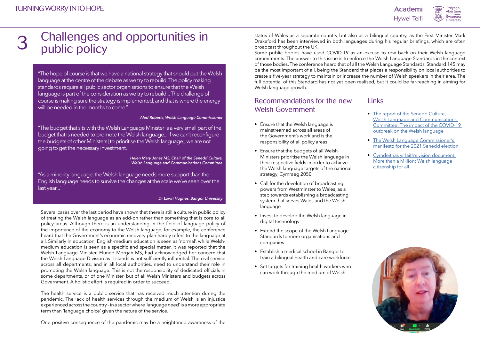"The hope of course is that we have a national strategy that should put the Welsh language at the centre of the debate as we try to rebuild. The policy making standards require all public sector organisations to ensure that the Welsh language is part of the consideration as we try to rebuild... The challenge of course is making sure the strategy is implemented, and that is where the energy will be needed in the months to come."

#### *Aled Roberts, Welsh Language Commissioner*

"The budget that sits with the Welsh Language Minister is a very small part of the budget that is needed to promote the Welsh language... If we can't reconfigure the budgets of other Ministers [to prioritise the Welsh language], we are not going to get the necessary investment."

> *Helen Mary Jones MS, Chair of the Senedd Culture, Welsh Language and Communications Committee*

"As a minority language, the Welsh language needs more support than the English language needs to survive the changes at the scale we've seen over the last year..."

#### *Dr Lowri Hughes, Bangor University*

Several cases over the last period have shown that there is still a culture in public policy of treating the Welsh language as an add-on rather than something that is core to all policy areas. Although there is an understanding in the field of language policy of the importance of the economy to the Welsh language, for example, the conference heard that the Government's economic recovery plan hardly refers to the language at all. Similarly in education, English-medium education is seen as 'normal', while Welshmedium education is seen as a specific and special matter. It was reported that the Welsh Language Minister, Eluned Morgan MS, had acknowledged her concern that the Welsh Language Division as it stands is not sufficiently influential. The civil service across all departments, and in all local authorities, need to understand their role in promoting the Welsh language. This is not the responsibility of dedicated officials in some departments, or of one Minister, but of all Welsh Ministers and budgets across Government. A holistic effort is required in order to succeed.

- The report of the Senedd Culture, [Welsh Language and Communications](https://senedd.cymru/laid%20documents/cr-ld13874/cr-ld13874-e.pdf)  [Committee: The impact of the COVID-19](https://senedd.cymru/laid%20documents/cr-ld13874/cr-ld13874-e.pdf)  [outbreak on the Welsh language](https://senedd.cymru/laid%20documents/cr-ld13874/cr-ld13874-e.pdf)
- [The Welsh Language Commissioner's](https://positif.wales/wp-content/uploads/2021/02/20200522-DG-S-Nodyn-Briffio-Maniffesto.pdf)  [manifesto for the 2021 Senedd election](https://positif.wales/wp-content/uploads/2021/02/20200522-DG-S-Nodyn-Briffio-Maniffesto.pdf)
- [Cymdeithas yr Iaith's vision document,](https://cymdeithas.cymru/sites/default/files/CYIG%20More%20than%20a%20Million%20(Gwe).pdf)  [More than a Million: Welsh language](https://cymdeithas.cymru/sites/default/files/CYIG%20More%20than%20a%20Million%20(Gwe).pdf)  [citizenship for all](https://cymdeithas.cymru/sites/default/files/CYIG%20More%20than%20a%20Million%20(Gwe).pdf)



### Challenges and opportunities in public policy 3

The health service is a public service that has received much attention during the pandemic. The lack of health services through the medium of Welsh is an injustice experienced across the country – in a sector where 'language need' is a more appropriate term than 'language choice' given the nature of the service.

One positive consequence of the pandemic may be a heightened awareness of the

status of Wales as a separate country but also as a bilingual country, as the First Minister Mark Drakeford has been interviewed in both languages during his regular briefings, which are often broadcast throughout the UK.

Some public bodies have used COVID-19 as an excuse to row back on their Welsh language commitments. The answer to this issue is to enforce the Welsh Language Standards in the context of those bodies. The conference heard that of all the Welsh Language Standards, Standard 145 may be the most important of all, being the Standard that places a responsibility on local authorities to create a five-year strategy to maintain or increase the number of Welsh speakers in their area. The full potential of this Standard has not yet been realised, but it could be far-reaching in aiming for Welsh language growth.

- Ensure that the Welsh language is mainstreamed across all areas of the Government's work and is the responsibility of all policy areas
- Ensure that the budgets of all Welsh Ministers prioritise the Welsh language in their respective fields in order to achieve the Welsh language targets of the national strategy, Cymraeg 2050
- Call for the devolution of broadcasting powers from Westminster to Wales, as a step towards establishing a broadcasting system that serves Wales and the Welsh language
- Invest to develop the Welsh language in digital technology
- Extend the scope of the Welsh Language Standards to more organisations and companies
- Establish a medical school in Bangor to train a bilingual health and care workforce
- Set targets for training health workers who can work through the medium of Welsh



### **Links**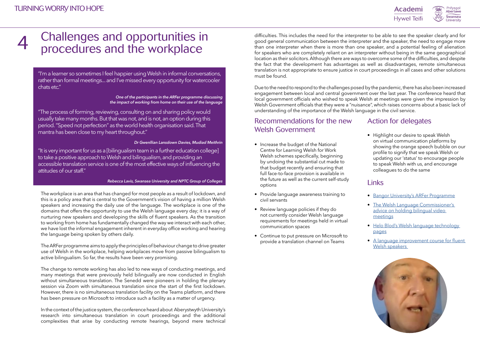"I'm a learner so sometimes I feel happier using Welsh in informal conversations, rather than formal meetings... and I've missed every opportunity for watercooler chats etc."

> *One of the participants in the ARFer programme discussing the impact of working from home on their use of the language*

"The process of forming, reviewing, consulting on and sharing policy would usually take many months. But that was not, and is not, an option during this period. "Speed not perfection" as the world health organisation said. That mantra has been close to my heart throughout."

#### *Dr Gwenllian Lansdown Davies, Mudiad Meithrin*

"It is very important for us as a [bilingualism team in a further education college] to take a positive approach to Welsh and bilingualism, and providing an accessible translation service is one of the most effective ways of influencing the attitudes of our staff."

#### *Rebecca Lavis, Swansea University and NPTC Group of Colleges*

The workplace is an area that has changed for most people as a result of lockdown, and this is a policy area that is central to the Government's vision of having a million Welsh speakers and increasing the daily use of the language. The workplace is one of the domains that offers the opportunity to use the Welsh language every day; it is a way of nurturing new speakers and developing the skills of fluent speakers. As the transition to working from home has fundamentally changed the way we interact with each other, we have lost the informal engagement inherent in everyday office working and hearing the language being spoken by others daily.

The ARFer programme aims to apply the principles of behaviour change to drive greater use of Welsh in the workplace, helping workplaces move from passive bilingualism to active bilingualism. So far, the results have been very promising.

The change to remote working has also led to new ways of conducting meetings, and many meetings that were previously held bilingually are now conducted in English without simultaneous translation. The Senedd were pioneers in holding the plenary session via Zoom with simultaneous translation since the start of the first lockdown. However, there is no simultaneous translation facility on the Teams platform, and there has been pressure on Microsoft to introduce such a facility as a matter of urgency.

- [Bangor University's ARFer Programme](https://www.bangor.ac.uk/canolfanbedwyr/arfer.php.en)
- [The Welsh Language Commissioner's](https://www.cyfieithwyr.cymru/files/Bilingual-video-meetings.pdf)  [advice on holding bilingual video](https://www.cyfieithwyr.cymru/files/Bilingual-video-meetings.pdf)  [meetings](https://www.cyfieithwyr.cymru/files/Bilingual-video-meetings.pdf)
- [Helo Blod's Welsh language technology](https://businesswales.gov.wales/heloblod/welsh-language-technology)  [pages](https://businesswales.gov.wales/heloblod/welsh-language-technology)
- [A language improvement course for fluent](https://learnwelsh.cymru/work-welsh/work-welsh-courses/improving-your-welsh-part-1/)  Welsh speakers



### Challenges and opportunities in procedures and the workplace 4

• Highlight our desire to speak Welsh on virtual communication platforms by showing the orange speech bubble on our profile to signify that we speak Welsh or updating our 'status' to encourage people to speak Welsh with us, and encourage colleagues to do the same

### **Links**

In the context of the justice system, the conference heard about Aberystwyth University's research into simultaneous translation in court proceedings and the additional complexities that arise by conducting remote hearings, beyond mere technical difficulties. This includes the need for the interpreter to be able to see the speaker clearly and for good general communication between the interpreter and the speaker, the need to engage more than one interpreter when there is more than one speaker, and a potential feeling of alienation for speakers who are completely reliant on an interpreter without being in the same geographical location as their solicitors. Although there are ways to overcome some of the difficulties, and despite the fact that the development has advantages as well as disadvantages, remote simultaneous translation is not appropriate to ensure justice in court proceedings in all cases and other solutions must be found.

Due to the need to respond to the challenges posed by the pandemic, there has also been increased engagement between local and central government over the last year. The conference heard that local government officials who wished to speak Welsh at meetings were given the impression by Welsh Government officials that they were a "nuisance", which raises concerns about a basic lack of understanding of the importance of the Welsh language in the civil service.

- Increase the budget of the National Centre for Learning Welsh for Work Welsh schemes specifically, beginning by undoing the substantial cut made to that budget recently and ensuring that full face-to-face provision is available in the future as well as the current self-study options
- Provide language awareness training to civil servants
- Review language policies if they do not currently consider Welsh language requirements for meetings held in virtual communication spaces
- Continue to put pressure on Microsoft to provide a translation channel on Teams





### Action for delegates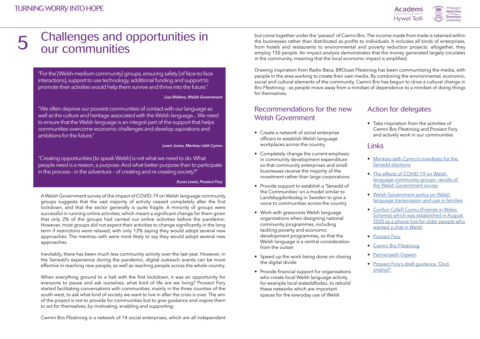### Links

"For the [Welsh-medium community] groups, ensuring safety [of face-to-face interactions], support to use technology, additional funding and support to promote their activities would help them survive and thrive into the future."

#### *Lisa Walters, Welsh Government*

"We often deprive our poorest communities of contact with our language as well as the culture and heritage associated with the Welsh language... We need to ensure that the Welsh language is an integral part of the support that helps communities overcome economic challenges and develop aspirations and ambitions for the future."

#### *Lowri Jones, Mentrau Iaith Cymru*

"Creating opportunities [to speak Welsh] is not what we need to do. What people need is a reason, a purpose. And what better purpose than to participate in the process – in the adventure – of creating and re-creating society?"

#### *Euros Lewis, Prosiect Fory*

A Welsh Government survey of the impact of COVID-19 on Welsh language community groups suggests that the vast majority of activity ceased completely after the first lockdown, and that the sector generally is quite fragile. A minority of groups were successful in running online activities, which meant a significant change for them given that only 2% of the groups had carried out online activities before the pandemic. However, most groups did not expect their activities to change significantly in the long term if restrictions were relaxed, with only 13% saying they would adopt several new approaches. The mentrau iaith were most likely to say they would adopt several new approaches.

Inevitably, there has been much less community activity over the last year. However, in the Senedd's experience during the pandemic, digital outreach events can be more effective in reaching new people, as well as reaching people across the whole country.

When everything ground to a halt with the first lockdown, it was an opportunity for everyone to pause and ask ourselves, what kind of life are we living? Prosiect Fory started facilitating conversations with communities, mainly in the three counties of the south-west, to ask what kind of society we want to live in after the crisis is over. The aim of the project is not to provide for communities but to give guidance and inspire them to act for themselves, by motivating, enabling and supporting.

### Challenges and opportunities in our communities 5

Cwmni Bro Ffestiniog is a network of 14 social enterprises, which are all independent

but come together under the 'parasol' of Cwmni Bro. The income made from trade is retained within the businesses rather than distributed as profits to individuals. It includes all kinds of enterprises, from hotels and restaurants to environmental and poverty reduction projects; altogether, they employ 150 people. An impact analysis demonstrates that the money generated largely circulates in the community, meaning that the local economic impact is amplified.

Drawing inspiration from Radio Beca, BROcast Ffestiniog has been communitizing the media, with people in the area working to create their own media. By combining the environmental, economic, social and cultural elements of the community, Cwmni Bro has begun to drive a cultural change in Bro Ffestiniog – as people move away from a mindset of dependence to a mindset of doing things for themselves.

- Create a network of social enterprise officers to establish Welsh language workplaces across the country
- Completely change the current emphasis in community development expenditure so that community enterprises and small businesses receive the majority of the investment rather than large corporations
- Provide support to establish a 'Senedd of the Communities' on a model similar to Landsbygdsriksdag in Sweden to give a voice to communities across the country
- Work with grassroots Welsh language organisations when designing national community programmes, including tackling poverty and economic development programmes, so that the Welsh language is a central consideration from the outset
- Speed up the work being done on closing the digital divide
- Provide financial support for organisations who create local Welsh language activity, for example local eisteddfodau, to rebuild these networks which are important spaces for the everyday use of Welsh



- [Mentrau Iaith Cymru's manifesto for the](http://www.mentrauiaith.cymru/wp-content/uploads/2020/11/MentrauIaith_saesneg-mawr.pdf)  [Senedd elections](http://www.mentrauiaith.cymru/wp-content/uploads/2020/11/MentrauIaith_saesneg-mawr.pdf)
- The effects of COVID-19 on Welsh language community groups: results of [the Welsh Government survey](https://gov.wales/effects-covid-19-welsh-language-community-groups-survey-results)
- [Welsh Government policy on Welsh](https://gov.wales/policy-welsh-language-transmission-and-use-families)  [language transmission and use in families](https://gov.wales/policy-welsh-language-transmission-and-use-families)
- [Cynllun Cyfaill Cymru \(Friends in Wales](https://wcva.cymru/friends-in-wales-scheme/)  [Scheme\) which was established in August](https://wcva.cymru/friends-in-wales-scheme/)  [2020 as a phone line for older people who](https://wcva.cymru/friends-in-wales-scheme/)  [wanted a chat in Welsh](https://wcva.cymru/friends-in-wales-scheme/)
- [Prosiect Fory](https://bro.360.cymru/2020/cynnal-sesiwn-prosiect-fory/)
- [Cwmni Bro Ffestiniog](http://cwmnibro.cymru/#en)
- [Partneriaeth Ogwen](https://www.partneriaethogwen.cymru/en/)
- [Prosiect Fory's draft guidance "Dod](https://360.scdn8.secure.raxcdn.com/ased/sites/3/2021/05/Dod-Ynghyd-Drafft-4-2.pdf)  [ynghyd"](https://360.scdn8.secure.raxcdn.com/ased/sites/3/2021/05/Dod-Ynghyd-Drafft-4-2.pdf)

### Action for delegates

• Take inspiration from the activities of Cwmni Bro Ffestiniog and Prosiect Fory and actively work in our communities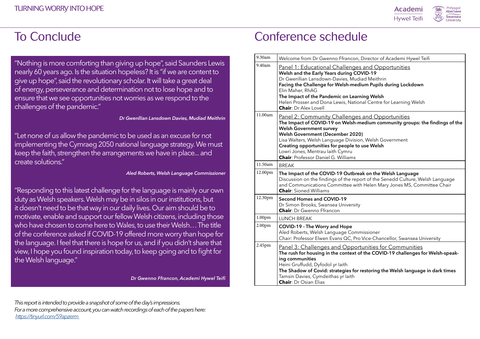"Nothing is more comforting than giving up hope", said Saunders Lewis nearly 60 years ago. Is the situation hopeless? It is "if we are content to give up hope", said the revolutionary scholar. It will take a great deal of energy, perseverance and determination not to lose hope and to ensure that we see opportunities not worries as we respond to the challenges of the pandemic."

#### *Dr Gwenllian Lansdown Davies, Mudiad Meithrin*

"Responding to this latest challenge for the language is mainly our own duty as Welsh speakers. Welsh may be in silos in our institutions, but it doesn't need to be that way in our daily lives. Our aim should be to motivate, enable and support our fellow Welsh citizens, including those who have chosen to come here to Wales, to use their Welsh… The title of the conference asked if COVID-19 offered more worry than hope for the language. I feel that there is hope for us, and if you didn't share that view, I hope you found inspiration today, to keep going and to fight for the Welsh language."

**The Impact of the Pandemic on Learning Welsh** al Centre for Learning Welsh

and Opportunities **The Impact of Community groups: the findings of the** 

n, Welsh Government **use Welsh** 

**12.000 Reads is the Welsh Language** 

ort of the Senedd Culture, Welsh Language Helen Mary Jones MS, Committee Chair

hissioner Vice-Chancellor, Swansea University

unities for Communities the COVID-19 challenges for Welsh-speak-

**The Shadow of the Shadow Shadow Shadow Shadow Shadow Shadow Shadow Shadow Shadow Shadow Shadow Shadow Shadow** 

*Dr Gwenno Ffrancon, Academi Hywel Teifi*

## To Conclude Conference schedule

"Let none of us allow the pandemic to be used as an excuse for not implementing the Cymraeg 2050 national language strategy. We must keep the faith, strengthen the arrangements we have in place... and create solutions."

#### *Aled Roberts, Welsh Language Commissioner*

*This report is intended to provide a snapshot of some of the day's impressions. For a more comprehensive account, you can watch recordings of each of the papers here: <https://tinyurl.com/59apzerm>*





Director of Academi Hywel Teifi

and Opportunities

**WID-19** ad Meithrin ium Pupils during Lockdown

|  | 9.30am             | Welcome from Dr Gwenno Ffrancon, D                                                                                                                                                                                                                                                                                             |
|--|--------------------|--------------------------------------------------------------------------------------------------------------------------------------------------------------------------------------------------------------------------------------------------------------------------------------------------------------------------------|
|  | 9.40am             | Panel 1: Educational Challenges<br>Welsh and the Early Years during COV<br>Dr Gwenllian Lansdown-Davies, Mudia<br>Facing the Challenge for Welsh-mediu<br>Elin Maher, RhAG<br>The Impact of the Pandemic on Learni<br>Helen Prosser and Dona Lewis, Nation<br><b>Chair: Dr Alex Lovell</b>                                     |
|  | 11.00am            | <u> Panel 2: Community Challenges </u><br>The Impact of COVID-19 on Welsh-me<br><b>Welsh Government survey</b><br><b>Welsh Government (December 2020)</b><br>Lisa Walters, Welsh Language Division<br>Creating opportunities for people to u<br>Lowri Jones, Mentrau laith Cymru<br><b>Chair: Professor Daniel G. Williams</b> |
|  | 11.50am            | <b>BREAK</b>                                                                                                                                                                                                                                                                                                                   |
|  | 12.00pm            | The Impact of the COVID-19 Outbrea<br>Discussion on the findings of the repo<br>and Communications Committee with<br><b>Chair:</b> Sioned Williams                                                                                                                                                                             |
|  | 12.30pm            | <b>Second Homes and COVID-19</b><br>Dr Simon Brooks, Swansea University<br><b>Chair:</b> Dr Gwenno Ffrancon                                                                                                                                                                                                                    |
|  |                    |                                                                                                                                                                                                                                                                                                                                |
|  | 1.00 <sub>pm</sub> | <b>LUNCH BREAK</b>                                                                                                                                                                                                                                                                                                             |
|  | 2.00 <sub>pm</sub> | COVID-19 - The Worry and Hope<br>Aled Roberts, Welsh Language Comm<br>Chair: Professor Elwen Evans QC, Pro \                                                                                                                                                                                                                   |